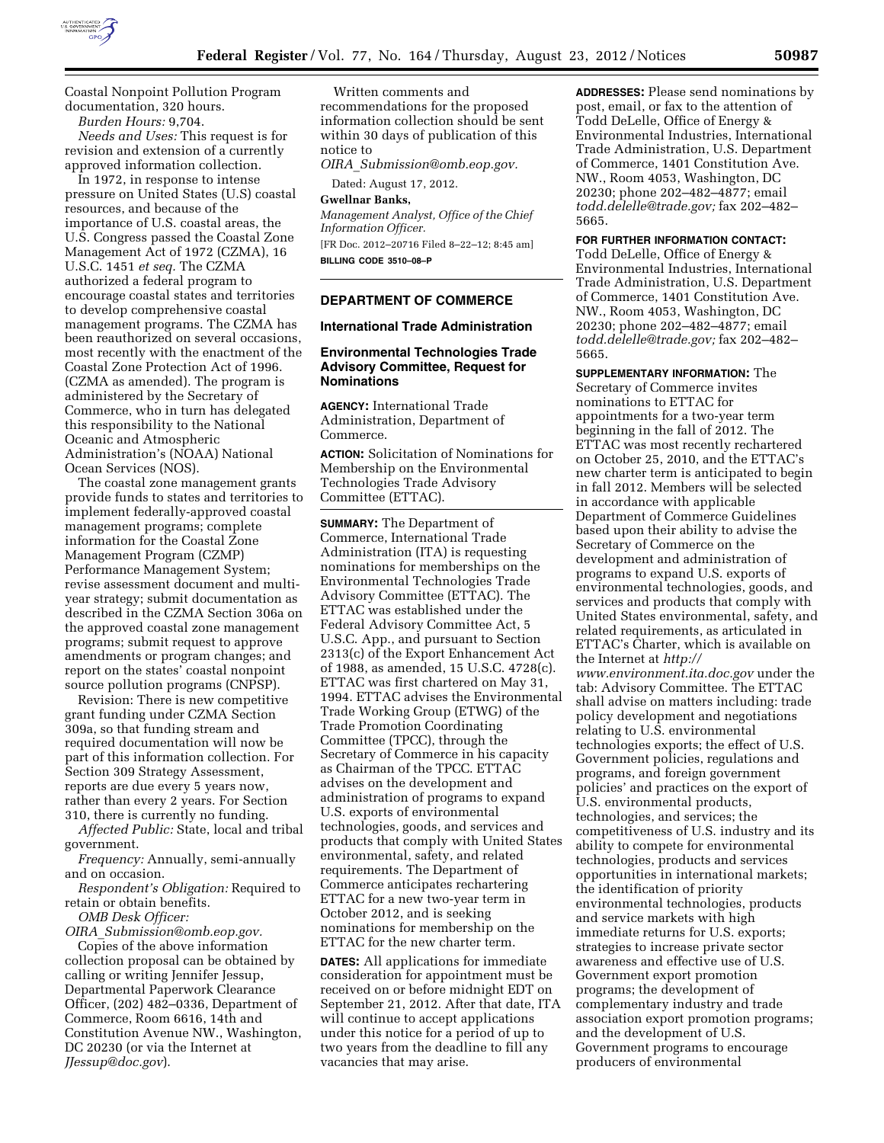

Coastal Nonpoint Pollution Program documentation, 320 hours.

*Burden Hours:* 9,704.

*Needs and Uses:* This request is for revision and extension of a currently approved information collection.

In 1972, in response to intense pressure on United States (U.S) coastal resources, and because of the importance of U.S. coastal areas, the U.S. Congress passed the Coastal Zone Management Act of 1972 (CZMA), 16 U.S.C. 1451 *et seq.* The CZMA authorized a federal program to encourage coastal states and territories to develop comprehensive coastal management programs. The CZMA has been reauthorized on several occasions, most recently with the enactment of the Coastal Zone Protection Act of 1996. (CZMA as amended). The program is administered by the Secretary of Commerce, who in turn has delegated this responsibility to the National Oceanic and Atmospheric Administration's (NOAA) National Ocean Services (NOS).

The coastal zone management grants provide funds to states and territories to implement federally-approved coastal management programs; complete information for the Coastal Zone Management Program (CZMP) Performance Management System; revise assessment document and multiyear strategy; submit documentation as described in the CZMA Section 306a on the approved coastal zone management programs; submit request to approve amendments or program changes; and report on the states' coastal nonpoint source pollution programs (CNPSP).

Revision: There is new competitive grant funding under CZMA Section 309a, so that funding stream and required documentation will now be part of this information collection. For Section 309 Strategy Assessment, reports are due every 5 years now, rather than every 2 years. For Section 310, there is currently no funding.

*Affected Public:* State, local and tribal government.

*Frequency:* Annually, semi-annually and on occasion.

*Respondent's Obligation:* Required to retain or obtain benefits.

*OMB Desk Officer:* 

*OIRA*\_*[Submission@omb.eop.gov.](mailto:OIRA_Submission@omb.eop.gov)*  Copies of the above information collection proposal can be obtained by calling or writing Jennifer Jessup, Departmental Paperwork Clearance Officer, (202) 482–0336, Department of Commerce, Room 6616, 14th and Constitution Avenue NW., Washington, DC 20230 (or via the Internet at *[JJessup@doc.gov](mailto:JJessup@doc.gov)*).

Written comments and recommendations for the proposed information collection should be sent within 30 days of publication of this notice to

*OIRA*\_*[Submission@omb.eop.gov.](mailto:OIRA_Submission@omb.eop.gov)* 

Dated: August 17, 2012.

**Gwellnar Banks,** 

*Management Analyst, Office of the Chief Information Officer.* 

[FR Doc. 2012–20716 Filed 8–22–12; 8:45 am] **BILLING CODE 3510–08–P** 

# **DEPARTMENT OF COMMERCE**

# **International Trade Administration**

# **Environmental Technologies Trade Advisory Committee, Request for Nominations**

**AGENCY:** International Trade Administration, Department of Commerce.

**ACTION:** Solicitation of Nominations for Membership on the Environmental Technologies Trade Advisory Committee (ETTAC).

**SUMMARY:** The Department of Commerce, International Trade Administration (ITA) is requesting nominations for memberships on the Environmental Technologies Trade Advisory Committee (ETTAC). The ETTAC was established under the Federal Advisory Committee Act, 5 U.S.C. App., and pursuant to Section 2313(c) of the Export Enhancement Act of 1988, as amended, 15 U.S.C. 4728(c). ETTAC was first chartered on May 31, 1994. ETTAC advises the Environmental Trade Working Group (ETWG) of the Trade Promotion Coordinating Committee (TPCC), through the Secretary of Commerce in his capacity as Chairman of the TPCC. ETTAC advises on the development and administration of programs to expand U.S. exports of environmental technologies, goods, and services and products that comply with United States environmental, safety, and related requirements. The Department of Commerce anticipates rechartering ETTAC for a new two-year term in October 2012, and is seeking nominations for membership on the ETTAC for the new charter term.

**DATES:** All applications for immediate consideration for appointment must be received on or before midnight EDT on September 21, 2012. After that date, ITA will continue to accept applications under this notice for a period of up to two years from the deadline to fill any vacancies that may arise.

**ADDRESSES:** Please send nominations by post, email, or fax to the attention of Todd DeLelle, Office of Energy & Environmental Industries, International Trade Administration, U.S. Department of Commerce, 1401 Constitution Ave. NW., Room 4053, Washington, DC 20230; phone 202–482–4877; email *[todd.delelle@trade.gov;](mailto:todd.delelle@trade.gov)* fax 202–482– 5665.

**FOR FURTHER INFORMATION CONTACT:** 

Todd DeLelle, Office of Energy & Environmental Industries, International Trade Administration, U.S. Department of Commerce, 1401 Constitution Ave. NW., Room 4053, Washington, DC 20230; phone 202–482–4877; email *[todd.delelle@trade.gov;](mailto:todd.delelle@trade.gov)* fax 202–482– 5665.

**SUPPLEMENTARY INFORMATION:** The Secretary of Commerce invites nominations to ETTAC for appointments for a two-year term beginning in the fall of 2012. The ETTAC was most recently rechartered on October 25, 2010, and the ETTAC's new charter term is anticipated to begin in fall 2012. Members will be selected in accordance with applicable Department of Commerce Guidelines based upon their ability to advise the Secretary of Commerce on the development and administration of programs to expand U.S. exports of environmental technologies, goods, and services and products that comply with United States environmental, safety, and related requirements, as articulated in ETTAC's Charter, which is available on the Internet at *[http://](http://www.environment.ita.doc.gov)  [www.environment.ita.doc.gov](http://www.environment.ita.doc.gov)* under the tab: Advisory Committee. The ETTAC shall advise on matters including: trade policy development and negotiations relating to U.S. environmental technologies exports; the effect of U.S. Government policies, regulations and programs, and foreign government policies' and practices on the export of U.S. environmental products, technologies, and services; the competitiveness of U.S. industry and its ability to compete for environmental technologies, products and services opportunities in international markets; the identification of priority environmental technologies, products and service markets with high immediate returns for U.S. exports; strategies to increase private sector awareness and effective use of U.S. Government export promotion programs; the development of complementary industry and trade association export promotion programs; and the development of U.S. Government programs to encourage producers of environmental